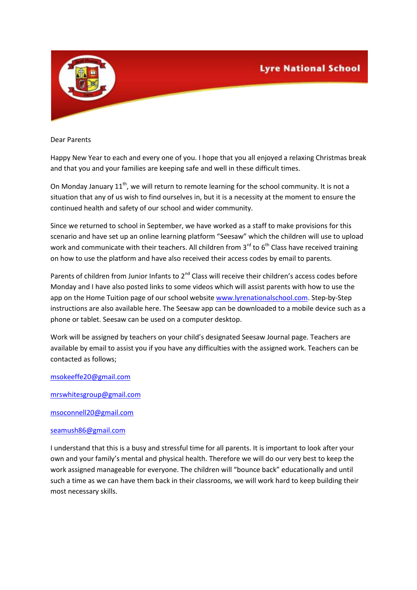

Dear Parents

Happy New Year to each and every one of you. I hope that you all enjoyed a relaxing Christmas break and that you and your families are keeping safe and well in these difficult times.

On Monday January  $11<sup>th</sup>$ , we will return to remote learning for the school community. It is not a situation that any of us wish to find ourselves in, but it is a necessity at the moment to ensure the continued health and safety of our school and wider community.

Since we returned to school in September, we have worked as a staff to make provisions for this scenario and have set up an online learning platform "Seesaw" which the children will use to upload work and communicate with their teachers. All children from  $3<sup>rd</sup>$  to  $6<sup>th</sup>$  Class have received training on how to use the platform and have also received their access codes by email to parents.

Parents of children from Junior Infants to 2<sup>nd</sup> Class will receive their children's access codes before Monday and I have also posted links to some videos which will assist parents with how to use the app on the Home Tuition page of our school website [www.lyrenationalschool.com.](http://www.lyrenationalschool.com/) Step-by-Step instructions are also available here. The Seesaw app can be downloaded to a mobile device such as a phone or tablet. Seesaw can be used on a computer desktop.

Work will be assigned by teachers on your child's designated Seesaw Journal page. Teachers are available by email to assist you if you have any difficulties with the assigned work. Teachers can be contacted as follows;

## [msokeeffe20@gmail.com](mailto:msokeeffe20@gmail.com)

[mrswhitesgroup@gmail.com](mailto:mrswhitesgroup@gmail.com)

[msoconnell20@gmail.com](mailto:msoconnell20@gmail.com)

## [seamush86@gmail.com](mailto:seamush86@gmail.com)

I understand that this is a busy and stressful time for all parents. It is important to look after your own and your family's mental and physical health. Therefore we will do our very best to keep the work assigned manageable for everyone. The children will "bounce back" educationally and until such a time as we can have them back in their classrooms, we will work hard to keep building their most necessary skills.